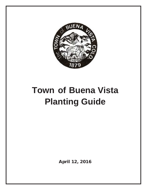

# **Town of Buena Vista Planting Guide**

April 12, 2016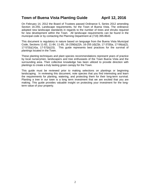## **Town of Buena Vista Planting Guide April 12, 2016**

On February 14, 2012 the Board of Trustees passed Ordinance 5, Series 2012 amending Section 16-255, Landscape requirements, for the Town of Buena Vista. The ordinance adopted new landscape standards in regards to the number of trees and shrubs required for new development within the Town. All landscape requirements can be found in the municipal code or by contacting the Planning Department at (719) 395-8643.

This document is regulatory in nature based on language from the Buena Vista Municipal Code, Sections 11-82, 11-84, 11-85, 16-239(b)(2)h, 16-255 (d)(2)b, 17-37(8)a, 17-56(a)(2), 17-57(b)(14)a, 17-57(b)(15). This guide represents best practices for the survival of plantings located in the Town.

These planting techniques and plant species recommendations represent years of practice by local nurserymen, landscapers and tree enthusiasts of the Town Buena Vista and the surrounding area. Their collective knowledge has been utilized to provide direction with plantings to create a truly lasting green canopy for the Town.

This guide must be reviewed prior to making selections on plantings or beginning landscaping. In reviewing this document, note species that you find interesting and learn the requirements for planting, watering, and protecting them for their long-term survival. Planting a tree in our town is a long term investment that we are excited that you are making. This guide provides valuable insight on protecting your investment for the longterm value of your property.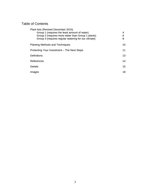## Table of Contents

| Plant lists (Revised December 2015)<br>Group 1 (requires the least amount of water)<br>Group 2 (requires more water than Group 1 plants)<br>Group 3 (requires regular watering for our climate) | 4<br>6<br>8      |
|-------------------------------------------------------------------------------------------------------------------------------------------------------------------------------------------------|------------------|
| <b>Planting Methods and Techniques</b>                                                                                                                                                          | 10               |
| Protecting Your Investment - The Next Steps                                                                                                                                                     | 11               |
| <b>Definitions</b>                                                                                                                                                                              | 13               |
| References                                                                                                                                                                                      | 14               |
| <b>Details</b>                                                                                                                                                                                  | 15 <sub>15</sub> |
| Images                                                                                                                                                                                          | 18               |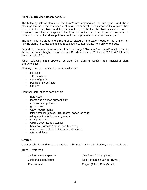#### **Plant List (Revised December 2015)**

The following lists of plants are the Town's recommendations on tree, grass, and shrub plantings that have the best chance of long-term survival. This extensive list of plants has been tested in the Town and has proven to be resilient in the Town's climate. While deviations from this are expected, the Town will not count these deviations towards the required trees per the Municipal Code, unless a 2 year warranty period is accepted

The plant list is divided into three groups based on the water needs of the plants. For healthy plants, a particular planting area should contain plants from only one group.

Behind the common name of each tree is a "Large", "Medium," or "Small" which refers to the tree's mature height. Large is over 40' when mature, Medium is 20' to 40' tall, and Small is under 20'.

When selecting plant species, consider the planting location and individual plant characteristics.

Planting location characteristics to consider are:

- · soil type
- · site exposure
- · slope of grade
- · possible microclimate
- · site use

Plant characteristics to consider are:

- · hardiness
- · insect and disease susceptibility
- · invasiveness potential
- growth rate
- · water requirements
- · litter potential (leaves, fruit, acorns, cones, or pods)
- · allergic potential to property users
- · toxic plant parts
- wildlife use/misuse potential
- · hazardous growth (thorns, prickly leaves)
- mature size relative to utilities and structures
- site conditions

#### **Group 1:**

Grasses, shrubs, and trees in the following list require minimal irrigation, once established.

#### Trees - Evergreen

| Juniperus monosperma | One Seed Juniper (Small)       |
|----------------------|--------------------------------|
| Juniperus scopulorum | Rocky Mountain Juniper (Small) |
| Pinus edulis         | Pinyon (Piñon) Pine (Small)    |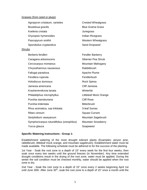#### Grasses (from seed or plugs)

| Agropyron cristatum, varieties            | <b>Crested Wheatgrass</b> |
|-------------------------------------------|---------------------------|
| Bouteloua gracilis                        | <b>Blue Grama Grass</b>   |
| Koeleria cristata                         | Junegrass                 |
| Oryzopsis hymenoides                      | Indian Ricegrass          |
| Pascopyrum smithii                        | <b>Western Wheatgrass</b> |
| Sporobolus cryptandrus                    | Sand Dropseed             |
| <b>Shrubs</b>                             |                           |
| Berberis fendleri                         | <b>Fendler Barberry</b>   |
| Caragana arborescens                      | Siberian Pea Shrub        |
| Cercocarpus montanus                      | Mountain Mahogany         |
| Chrysothamnus nauseosus                   | Rabbitbrush               |
| Fallugia paradoxa                         | Apache Plume              |
| Fendlera rupicola                         | Fendlerbush               |
| Holodiscus dumosus                        | Rock Spirea               |
| Jamesia americana                         | Cliff Jamesia             |
| Krasheninnikovia lanata                   | Winterfat                 |
| Philadelphus microphyllus                 | Littleleaf Mock Orange    |
| Purshia stansburiana                      | <b>Cliff Rose</b>         |
| Purshia tridentata                        | <b>Bitterbrush</b>        |
| Rhus aromatica, ssp trilobata             | 3-leaf Sumac              |
| Ribes cereum                              | <b>Squaw Currant</b>      |
| Seriphidium vaseyanum                     | Mountain Sagebrush        |
| Symphoricarpus rotundifolius (oreophilus) | <b>Mountain Snowberry</b> |
| Yucca glauca                              | Soapweed                  |

#### **Specific Watering Instructions - Group 1:**

Establishment watering of the most drought tolerant plants (Examples: pinyon pine, rabbitbrush, littleleaf mock orange, and mountain sagebrush). Establishment water must be made available. The following schedule must be adhered to for the success of the planting.

1st Year - Soak the root zone to a depth of 15" every week for the first four weeks, then soak once every two weeks until the ground freezes (in November). Any time extended drought conditions result in the drying of the root zone, water must be applied. During the winter the soil condition must be checked monthly, water should be applied when the root zone is dry.

2nd Year - Soak the root zone to a depth of 15" once every 2 weeks beginning April 1st until June 30th. After June  $30<sup>th</sup>$ , soak the root zone to a depth of 15" once a month until the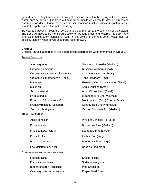ground freezes. Any time extended drought conditions result in the drying of the root zone, water must be applied. The trees will have to be monitored closely for drought stress and watered if too dry. During the winter the soil condition must be checked monthly, water should be applied when the root zone is dry.

3rd year and beyond - Soak the root zone to a depth of 15" at the beginning of the season. The trees will have to be monitored closely for drought stress and watered if too dry. Any time extended drought conditions result in the drying of the root zone, water must be applied. Monthly watering will encourage faster growth.

#### **Group 2:**

Grasses, shrubs, and trees in this classification require more water than those in Group 1.

#### Trees - Decidious

| Acer negundo                       | 'Sensation' Boxelder (Medium)         |
|------------------------------------|---------------------------------------|
| Crataegus ambigua                  | Russian Hawthorn (Small)              |
| Crataegus succulenta coloradensis  | Colorado Hawthorn (Small)             |
| Crataegus x mordenensis "Toba"     | Toba Hawthorn (Small)                 |
| Malus sp                           | Flowering Crabapple varieties (Small) |
| Malus sp                           | Apple varieties (Small)               |
| Prunus maackii                     | Amur Chokecherry (Small)              |
| Prunus padus                       | European Bird Cherry (Small)          |
| Prunus sp "Montmorency"            | Montmorency (Sour) Cherry (Small)     |
| Prunus virginiana "Schubert"       | Canada Red Cherry (Medium)            |
| Sorbus x thuringiaca               | Oakleaf Mountain Ash (Medium)         |
| Trees - Evergreen                  |                                       |
| Abies concolor                     | White or Concolor Fir (Large)         |
| Pinus aristata                     | Bristlecone Pine (Medium)             |
| Pinus contorta latifolia           | Lodgepole Pine (Large)                |
| <b>Pinus flexilis</b>              | Limber Pine (Large)                   |
| Pinus ponderosa                    | Ponderosa Pine (Large)                |
| Pseudotsuga menziesii              | Douglas Fir (Large)                   |
| Grasses - Native grasses from seed |                                       |
| Festuca ovina                      | <b>Sheep Fescue</b>                   |
| Elymus lanceolatus                 | Sodar Wheatgrass                      |
| Blepharoneuron tricholepis         | Pine Dropseed                         |
| Calamagrostis purpurascens         | <b>Purple Reed Grass</b>              |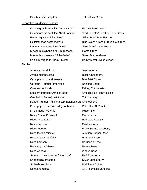#### Deschampsia cespitosa **Tufted Hair Grass**

#### Decorative Landscape Grasses

Calamagrostis acutiflora "Avalanche" Feather Reed Grass Calamagrostis acutiflora "Karl Foerster" "Karl Foerster" Feather Reed Grass Festuca glauca "Elijah Blue" "Elijah Blue" Blue Fescue Helictotrichon sempervirens **Blue Avena Grass or Blue Oat Grass** Leymus arenarius "Blue Dune" The "Blue Dune" Lyme Grass Miscanthus sinensis "Purpurascens" Flame Grass Miscanthus sinensis "Silberfeder" Silver Feather Grass Panicum virgatum "Heavy Metal" Heavy Metal Switch Grass

#### Shrubs

Amelanchier alnifolia Serviceberry Aronia melanocarpa **Black Chokeberry** Caryopteris x clandonensis **Blue Mist Spirea** Cerasus (Prunus) tomentosa Nanking Cherry Cotoneaster lucida **Peking Cotoneaster** Lonicera tartarica "Arnolds Red" Arnold's Red Honeysuckle Oreobatus(Rubus) deliciosus Thimbleberry Padus(Prunus) virginiana ssp.melanocarpa Chokecherry Pentaphylloides (Potentilla) floribunda Potentilla, All Varieties Pinus mugo "Mughus" Mugo Pine Ribes "Pixwell" Pixwell Cooseberry Ribes "Red Lake" Network and Red Lake Currant Ribes aureum **Golden** Currant Ribes inerme White Stem Gooseberry Rosa foetida "bicolor" Austrian Copper Rose Rosa glauca rubrifolia entrante en Red Leaf Rose Rosa harrisoni **Marrison's Rose** Rosa rugosa "Hansa" **Hansa Rose** Rosa woodsii Woods Rose Sambucus microbotrys (racemosa) Red Elderberry Shepherdia argentea Silver Buffaloberry Sorbaria sorbifolia e controllari di un un un un Ural False Spirea Spirea bumalda All S. bumalda varieties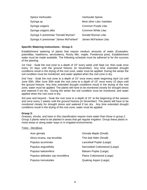| Spirea Vanhouttei                      | Vanhoutte Spirea                  |
|----------------------------------------|-----------------------------------|
| Syringa sp                             | <b>Most other Lilac Varieties</b> |
| Syringa vulgaris                       | Common Purple Lilac               |
| Syringa vulgaris alba                  | Common White Lilac                |
| Syringa X prestoniae "Donald Wyman"    | Donald Wyman Lilac                |
| Syringa X prestoniae "James McFarlane" | James McFarlane Lilac             |

#### **Specific Watering Instructions - Group 2:**

Establishment watering of plants that require medium amounts of water (Examples: potentillas, hawthorns, serviceberry, Rocky Mtn. maple, Ponderosa pine). Establishment water must be made available. The following schedule must be adhered to for the success of the planting.

1st Year - Soak the root zone to a depth of 15" every week until Sept 1st, then soak once every 10 days until the ground freezes (in November). Any time extended drought conditions result in the drying of the root zone, water must be applied. During the winter the soil condition must be monitored, and water applied when the root zone is dry.

2nd Year - Soak the root zone to a depth of 15" once every week beginning April 1st until June 30th. After June 30th soak the root zone to a depth of 15" once every 10 days until the ground freezes. Any time extended drought conditions result in the drying of the root zone, water must be applied. The plants will have to be monitored closely for drought stress and watered if too dry. During the winter the soil condition must be monitored, and water applied when the root zone is dry.

3rd year and beyond - Soak the root zone to a depth of 15" at the beginning of the season and once every 2 weeks until the ground freezes (in November). The plants will have to be monitored closely for drought stress and watered if too dry. Any time extended drought conditions result in the drying of the root zone, water must be applied.

#### **Group 3:**

Grasses, shrubs, and trees in this classification require more water than those in group 2. Group 3 plants need to be planted in areas that get regular irrigation. Group these plants in moist areas or along water ways or in irrigated environments.

#### Trees - Decidious

| Acer ginnala                     | Ginnala Maple (Small)         |
|----------------------------------|-------------------------------|
| Alnus incana, ssp tenufolia      | Thin leaf Alder (Small)       |
| Populus acuminata                | Lanceleaf Poplar (Large)      |
| Populus angustifolia             | Narrowleaf Cottonwood (Large) |
| Populus balsamifera              | Balsam Poplar (Large)         |
| Populus deltoides ssp monolifera | Plains Cottonwood (Large)     |
| Populus tremuloides              | Quaking Aspen (Large)         |
|                                  |                               |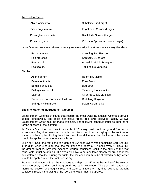#### Trees – Evergreen

| Abies lasiocarpa     | Subalpine Fir (Large)               |
|----------------------|-------------------------------------|
| Picea engelmannii    | Engelmann Spruce (Large)            |
| Picea glauca densata | Black Hills Spruce (Large)          |
| Picea pungens        | Colorado Spruce, all colors (Large) |

**Lawn Grasses** from seed (Note: normally requires irrigation at least once every five days.)

| Festuca rubra | <b>Creeping Red Fescue</b>   |
|---------------|------------------------------|
| Poa pratensis | <b>Kentucky Bluegrass</b>    |
| Poa hybrid    | Armadillo Hybrid Bluegrass   |
| Festuca sp.   | <b>Tall Fescue Varieties</b> |

#### Shrubs

| Acer glabrum                       | Rocky Mt. Maple              |
|------------------------------------|------------------------------|
| Betula fontinalis                  | <b>River Birch</b>           |
| Betula glandulosa                  | Bog Birch                    |
| Distegia involucrata               | <b>Twinberry Honeysuckle</b> |
| Salix sp.                          | All shrub willow varieties   |
| Swida sericea (Cornus stolonifera) | <b>Red Twig Dogwood</b>      |
| Syringa palibin meyeri             | Dwarf Korean Lilac           |

#### **Specific Watering Instructions - Group 3:**

Establishment watering of plants that require the most water (Examples: Colorado spruce, aspen, cottonwood, and most non-native trees, red twig dogwood, alder, willow). Establishment water must be made available. The following schedule must be adhered to for the success of the planting.

1st Year - Soak the root zone to a depth of 15" every week until the ground freezes (in November). Any time extended drought conditions result in the drying of the root zone, water must be applied. During the winter the soil condition must be checked monthly, water should be applied when the root zone is dry.

2nd Year - Soak the root zone to a depth of 15" once every week beginning April 1st until June 30th. After June 30th soak the root zone to a depth of 15" once every 10 days until the ground freezes. Any time extended drought conditions result in the drying of the root zone, water must be applied. The trees will have to be monitored closely for drought stress and watered if too dry. During the winter the soil condition must be checked monthly, water should be applied when the root zone is dry.

3rd year and beyond - Soak the root zone to a depth of 15" at the beginning of the season and once every 10 days until the ground freezes in November. The trees will have to be monitored closely for drought stress and watered if too dry. Any time extended drought conditions result in the drying of the root zone, water must be applied.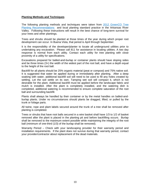#### **Planting Methods and Techniques**

The following planting methods and techniques were taken from [2012 GreenCO Tree](http://www.coloradonga.org/articles/GreenCO_Tree_Planting_Recommendations_June_2012.pdf)  [Planting Recommendations](http://www.coloradonga.org/articles/GreenCO_Tree_Planting_Recommendations_June_2012.pdf) and local planting standard practice in the Arkansas River Valley. Following these instructions will result in the best chance of long-term survival for your trees and other plantings.

Trees and shrubs should be planted at those times of the year during which proper root development can occur. In Buena Vista, that period is April through September.

It is the responsibility of the developer/planter to locate all underground utilities prior to undertaking any excavation. Please call 811 for assistance in locating utilities. A two day response is normal from each utility. Contact each utility for tree planting with close proximity of a utility for specifications.

Excavations prepared for balled-and-burlap or container plants should have sloping sides and be three times  $(3x)$  the width of the widest part of the root ball, and have a depth equal to the height of the root ball.

Backfill for all plants should be 25% organic material (peat or compost) and 75% native soil. It is suggested that water be applied during or immediately after planting. After a deep soaking with water, additional backfill soil will need to be used to fill any holes created by settling. Let the soil settle on its own. Tamping wet soil will compact it, which is not desirable for the plant. Additional backfill must be applied before the landscape fabric and mulch is installed. After the plant is completely installed, and the watering dish is completed, additional watering is recommended to ensure complete saturation of the root ball and surrounding backfill.

Plants shall always be handled by their container or by the metal handles on balled-andburlap plants. Under no circumstances should plants be dragged, lifted, or pulled by the trunk or foliage parts.

All twine, rope and plant labels secured around the trunk of a tree shall be removed after planting is completed.

Trees or shrubs that have root balls secured in a wire basket shall have 1/3 to 1/2 of basket removed after the plant is placed in the planting pit and before backfilling occurs. Burlap shall be removed to the maximum extent possible while maintaining the integrity of the root ball (minimum of one-third (1/3) of the burlap shall be removed).

Warranty Period – Check with your landscaping provider for their warranty period and installation requirements. If the plant does not survive during that warranty period, contact your provider/contractor about replacement of the dead materials.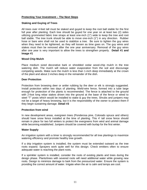#### **Protecting Your Investment – The Next Steps**

#### **Staking and Guying of Trees**

All trees over 4-feet tall must be staked and guyed to keep the root ball stable for the first full year after planting. Each tree should be guyed for one year on at least two (2) sides utilizing grommeted fabric tree straps at least one-inch (1") wide to keep the tree and root ball stable. The tree trunk should be able to move one-inch (1") in any direction. Rubber hose or bare wire shall not be used to stabilize a tree. Be sure to tighten the guy wires when they need to be tightened, as they will loosen as time goes on. The guy wires and stakes must then be removed after the one year anniversary. Removal of the guy wires after one year is very important to allow the trees to strengthen properly. **Detail #1 and Image #1**

#### **Wood Chip Mulch**

Place medium sized decorative bark or shredded cedar wood-chip mulch in the tree watering dish. The mulch will reduce water evaporation from the soil and discourage competing weeds. Make sure the mulch is less than 1-inch deep immediately at the crown of the plant and about 2-inches deep in the remainder of the dish.

#### **Deer Protection**

Protection from browsing deer or antler rubbing by the deer or elk is strongly suggested. Install protection within two days of planting. Weld-wire fence, formed into a tube large enough for protection of the plants is recommended. The fence is attached to the ground with 2-foot long rebar stakes driven into the ground at the base of the fence or wired to steel "T" posts which would be installed to stake & guy the trees. Shrubs and junipers may not be a target of heavy browsing, but it is the responsibility of the owner to protect them if they begin sustaining damage. **Detail #3**

#### **Protection from wind**

In new development areas, evergreen trees (Ponderosa pine, Colorado spruce and others) should have snow fence installed at the time of planting. This 4' tall snow fence should remain in place for two full winters to protect the evergreens from wind and animal damage while becoming established. Junipers should be covered with burlap for the first winter.

#### **Water Supply**

An irrigation system with a timer is strongly recommended for all tree plantings to maximize watering efficiency and promote healthy tree growth.

If a drip irrigation system is installed, the system must be extended outward as the tree roots expand. Sprayers work quite well for this design. Check emitters often to ensure adequate water is reaching the plant roots.

If a sprinkler system is installed, consider the roots of existing plants and trees during the design phase. Plants/trees with severed roots will need additional water while growing new roots. Design to minimize damage to bark from the pressurized water. Ensure the system is providing the correct amount of water. Irrigate when the air is calm and temps are cool.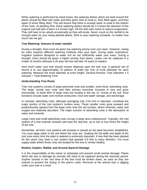When watering is performed by hand hoses, the watering dishes which are built around the plants should be filled with water and then given time to soak in, then filled again, and then again (3 times filling dish). This will assure that there is enough water to soak to the bottom of the roots. At planting time, these watering dishes should be 2.5 times the diameter of the original root ball with a berm 3-4 inches high. Fill the dish with mulch to reduce evaporation. They will have to be rebuilt occasionally as they will erode. Never count on the rainfall to be enough water for your newly planted plants. Stick to your watering schedule, no matter how much rain we get.

#### **Tree Watering: Amount of water needed**

During a drought, trees must be given top watering priority over your lawn. However, caring for trees requires different watering methods than your lawn. During water restrictions, irrigation systems designed to water turf do not sufficiently water your trees. During a drought, trees should be given a higher priority than lawns. Lawns can be replaced in a matter of months whereas a 20 year old tree will take 20 years to replace.

How much water your tree should receive depends upon the tree size. A general rule of thumb is to use approximately 10 gallons of water per inch of trunk diameter for each watering. Measure the trunk diameter at knee height. General formula: Tree Diameter x 5 minutes = Total Watering Time.

#### **Understanding Tree Roots**

Tree root systems consist of large perennial roots and smaller, short-lived, adsorbing roots. The large, woody tree roots and their primary branches increase in size and grow horizontally. At least 90% of large roots are located in the top 12" inches of the soil. Root functions include water and mineral conduction, food and water storage, and anchorage.

In contrast, adsorbing roots, although averaging only 1/16 inch in diameter, constitute the major portion of the root system's surface area. These smaller roots grow outward and predominantly upward from the large roots near the soil surface, where minerals, water and oxygen are relatively abundant. The major function of adsorbing roots is the absorption of water and minerals.

Large roots and small adsorbing roots occupy a large area underground. Typically, the root system of a tree extends outward well past the drip-line, up to two to four times the height of the tree.

Remember, all trees' root systems will increase in spread as the plant becomes established. You must apply water to the soil where the roots are. Soaking the full width and depth of the root zone every time the plant is watered is extremely important. A tree that has been planted for five years may have a root system that spreads 5-6 feet in every direction. You must supply water where those roots are located for the tree to remain healthy.

#### **Rodent, Gopher, Rabbit, and Ground Squirrel Damage**

It is the responsibility of the owner to anticipate and prevent small animal damage. Plants which die due to damage by animals will need to be replaced during the warranty period. Gopher tunnels in the root area of the tree must be broken down, as soon as they are noticed to prevent the drying of the plant's roots. Removal of the animal that is digging under your tree is a must.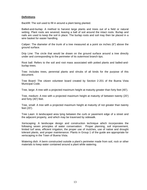#### **Definitions**

Backfill: The soil used to fill in around a plant being planted.

Balled-and-burlap: A method to harvest large plants and trees out of a field or natural setting. Plant roots are severed, leaving a ball of soil around the intact roots. Burlap and nails are used to keep the soil in place. The burlap roots and soil may then be placed in a wire basket for easier handling.

Caliper: The diameter of the trunk of a tree measured at a point six inches (6") above the ground surface.

Drip Line: The circle that would be drawn on the ground surface around a tree directly under and corresponding to the perimeter of its outermost branch tips.

Root ball: Refers to the soil and root mass associated with potted plants and balled-andburlap trees.

Tree: Includes trees, perennial plants and shrubs of all kinds for the purpose of this document.

Tree Board: The citizen volunteer board created by Section 2-201 of the Buena Vista Municipal Code.

Tree, large: A tree with a projected maximum height at maturity greater than forty feet (40').

Tree, medium: A tree with a projected maximum height at maturity of between twenty (20') and forty (40') feet.

Tree, small: A tree with a projected maximum height at maturity of not greater than twenty feet (20').

Tree Lawn: A landscaped area lying between the curb or pavement edge of a street and the adjacent property, and which may be traversed by sidewalk.

Xeriscaping: A landscape design and construction technique which incorporates the following seven principles of water conservation: Proper planning, soil improvement, limited turf area, efficient irrigation, the proper use of mulches, use of native and drought tolerant plants, and proper maintenance. Plants in Group 1 of the guide are appropriate for xeriscaping in the Town of Buena Vista.

Watering dish: A berm constructed outside a plant's perimeter made from soil, rock or other materials to keep water contained around a plant while watering.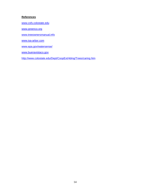### **References**

[www.csfs.colostate.edu](http://www.csfs.colostate.edu/)

[www.greenco.org](http://www.greenco.org/)

[www.treeownersmanual.info](http://www.treeownersmanual.info/)

[www.isa-arbor.com](http://www.isa-arbor.com/)

[www.epa.gov/watersense/](http://www.epa.gov/watersense/)

[www.buenavistaco.gov](http://www.buenavistaco.gov/)

<http://www.colostate.edu/Dept/CoopExt/4dmg/Trees/caring.htm>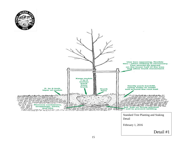

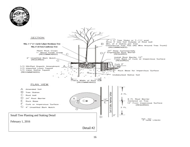

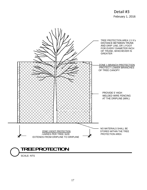

17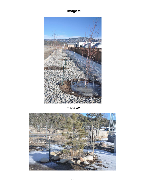## **Image #1**



**Image #2**